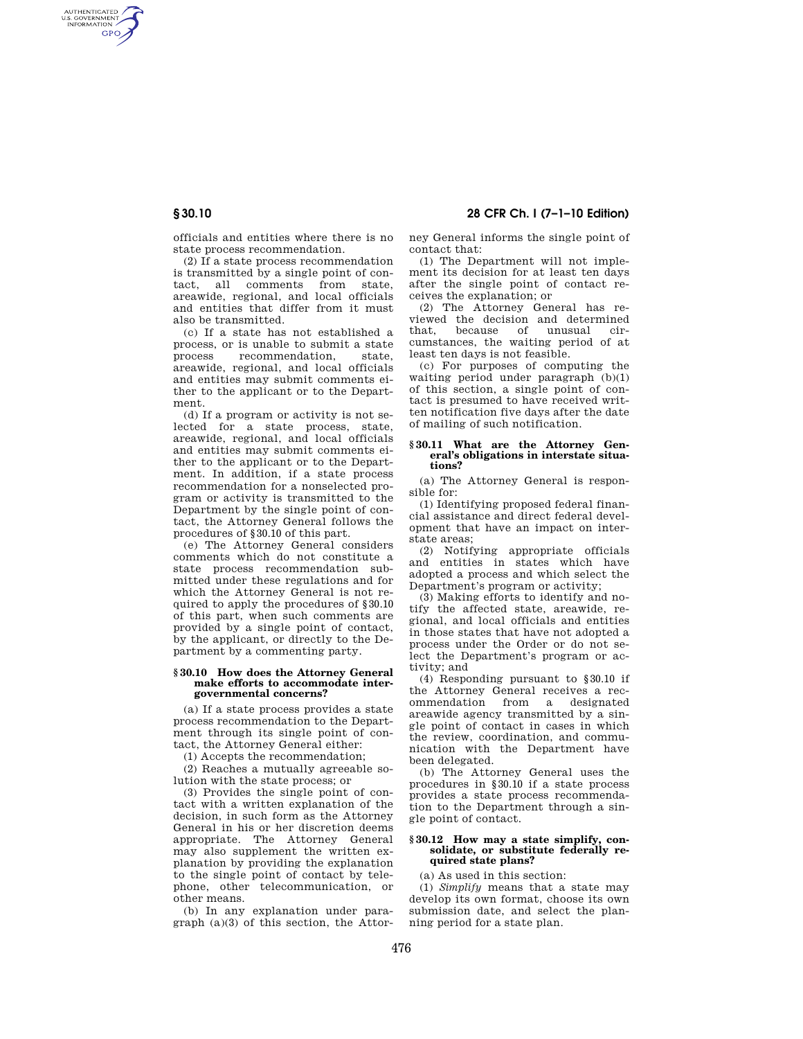AUTHENTICATED<br>U.S. GOVERNMENT<br>INFORMATION **GPO** 

**§ 30.10 28 CFR Ch. I (7–1–10 Edition)** 

officials and entities where there is no state process recommendation.

(2) If a state process recommendation is transmitted by a single point of contact, all comments areawide, regional, and local officials and entities that differ from it must also be transmitted.

(c) If a state has not established a process, or is unable to submit a state process recommendation, state, areawide, regional, and local officials and entities may submit comments either to the applicant or to the Department.

(d) If a program or activity is not selected for a state process, state, areawide, regional, and local officials and entities may submit comments either to the applicant or to the Department. In addition, if a state process recommendation for a nonselected program or activity is transmitted to the Department by the single point of contact, the Attorney General follows the procedures of §30.10 of this part.

(e) The Attorney General considers comments which do not constitute a state process recommendation submitted under these regulations and for which the Attorney General is not required to apply the procedures of §30.10 of this part, when such comments are provided by a single point of contact, by the applicant, or directly to the Department by a commenting party.

#### **§ 30.10 How does the Attorney General make efforts to accommodate intergovernmental concerns?**

(a) If a state process provides a state process recommendation to the Department through its single point of contact, the Attorney General either:

(1) Accepts the recommendation;

(2) Reaches a mutually agreeable solution with the state process; or

(3) Provides the single point of contact with a written explanation of the decision, in such form as the Attorney General in his or her discretion deems appropriate. The Attorney General may also supplement the written explanation by providing the explanation to the single point of contact by telephone, other telecommunication, or other means.

(b) In any explanation under paragraph (a)(3) of this section, the Attorney General informs the single point of contact that:

(1) The Department will not implement its decision for at least ten days after the single point of contact receives the explanation; or

(2) The Attorney General has reviewed the decision and determined that, because of unusual circumstances, the waiting period of at least ten days is not feasible.

(c) For purposes of computing the waiting period under paragraph (b)(1) of this section, a single point of contact is presumed to have received written notification five days after the date of mailing of such notification.

# **§ 30.11 What are the Attorney Gen-eral's obligations in interstate situations?**

(a) The Attorney General is responsible for:

(1) Identifying proposed federal financial assistance and direct federal development that have an impact on interstate areas;

(2) Notifying appropriate officials and entities in states which have adopted a process and which select the Department's program or activity;

(3) Making efforts to identify and notify the affected state, areawide, regional, and local officials and entities in those states that have not adopted a process under the Order or do not select the Department's program or activity; and

(4) Responding pursuant to §30.10 if the Attorney General receives a recommendation from a designated areawide agency transmitted by a single point of contact in cases in which the review, coordination, and communication with the Department have been delegated.

(b) The Attorney General uses the procedures in §30.10 if a state process provides a state process recommendation to the Department through a single point of contact.

### **§ 30.12 How may a state simplify, consolidate, or substitute federally required state plans?**

(a) As used in this section:

(1) *Simplify* means that a state may develop its own format, choose its own submission date, and select the planning period for a state plan.